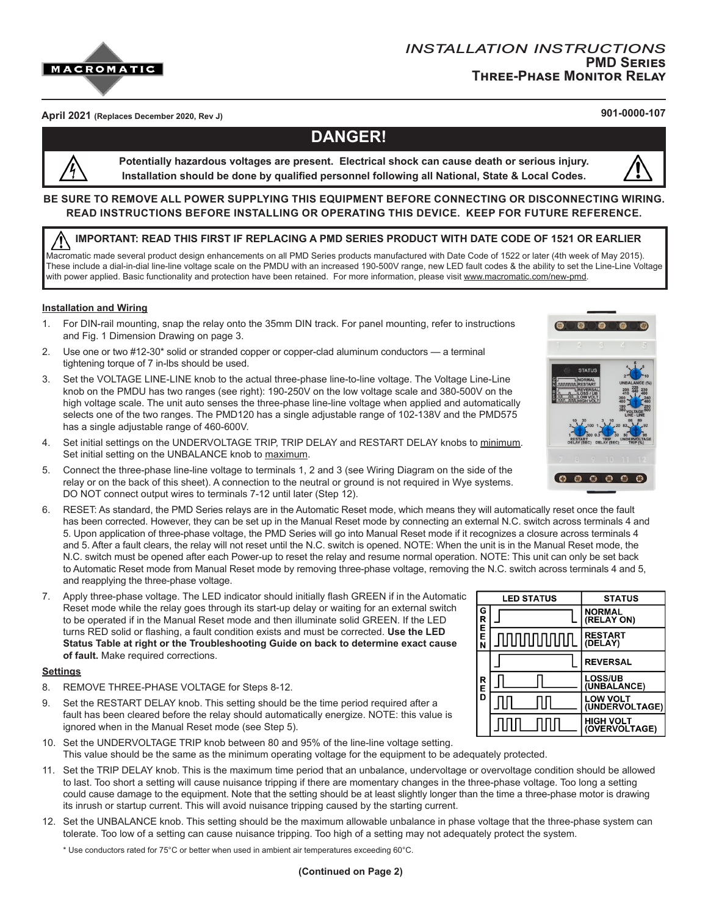

## **April 2021 (Replaces December 2020, Rev J) 901-0000-107**

# **DANGER!**

**Potentially hazardous voltages are present. Electrical shock can cause death or serious injury. Installation should be done by qualified personnel following all National, State & Local Codes.**

#### **BE SURE TO REMOVE ALL POWER SUPPLYING THIS EQUIPMENT BEFORE CONNECTING OR DISCONNECTING WIRING. READ INSTRUCTIONS BEFORE INSTALLING OR OPERATING THIS DEVICE. KEEP FOR FUTURE REFERENCE.**

#### **IMPORTANT: READ THIS FIRST IF REPLACING A PMD SERIES PRODUCT WITH DATE CODE OF 1521 OR EARLIER**

Macromatic made several product design enhancements on all PMD Series products manufactured with Date Code of 1522 or later (4th week of May 2015). These include a dial-in-dial line-line voltage scale on the PMDU with an increased 190-500V range, new LED fault codes & the ability to set the Line-Line Voltage with power applied. Basic functionality and protection have been retained. For more information, please visit <u>www.macromatic.com/new-pmd</u>.

#### **Installation and Wiring**

- 1. For DIN-rail mounting, snap the relay onto the 35mm DIN track. For panel mounting, refer to instructions and Fig. 1 Dimension Drawing on page 3.
- 2. Use one or two #12-30\* solid or stranded copper or copper-clad aluminum conductors a terminal tightening torque of 7 in-lbs should be used.
- 3. Set the VOLTAGE LINE-LINE knob to the actual three-phase line-to-line voltage. The Voltage Line-Line knob on the PMDU has two ranges (see right): 190-250V on the low voltage scale and 380-500V on the high voltage scale. The unit auto senses the three-phase line-line voltage when applied and automatically selects one of the two ranges. The PMD120 has a single adjustable range of 102-138V and the PMD575 has a single adjustable range of 460-600V.
- 4. Set initial settings on the UNDERVOLTAGE TRIP, TRIP DELAY and RESTART DELAY knobs to minimum. Set initial setting on the UNBALANCE knob to maximum.
- 5. Connect the three-phase line-line voltage to terminals 1, 2 and 3 (see Wiring Diagram on the side of the relay or on the back of this sheet). A connection to the neutral or ground is not required in Wye systems. DO NOT connect output wires to terminals 7-12 until later (Step 12).
- 6. RESET: As standard, the PMD Series relays are in the Automatic Reset mode, which means they will automatically reset once the fault has been corrected. However, they can be set up in the Manual Reset mode by connecting an external N.C. switch across terminals 4 and 5. Upon application of three-phase voltage, the PMD Series will go into Manual Reset mode if it recognizes a closure across terminals 4 and 5. After a fault clears, the relay will not reset until the N.C. switch is opened. NOTE: When the unit is in the Manual Reset mode, the N.C. switch must be opened after each Power-up to reset the relay and resume normal operation. NOTE: This unit can only be set back to Automatic Reset mode from Manual Reset mode by removing three-phase voltage, removing the N.C. switch across terminals 4 and 5, and reapplying the three-phase voltage.
- 7. Apply three-phase voltage. The LED indicator should initially flash GREEN if in the Automatic Reset mode while the relay goes through its start-up delay or waiting for an external switch to be operated if in the Manual Reset mode and then illuminate solid GREEN. If the LED turns RED solid or flashing, a fault condition exists and must be corrected. **Use the LED Status Table at right or the Troubleshooting Guide on back to determine exact cause of fault.** Make required corrections.

#### **Settings**

- 8. REMOVE THREE-PHASE VOLTAGE for Steps 8-12.
- 9. Set the RESTART DELAY knob. This setting should be the time period required after a fault has been cleared before the relay should automatically energize. NOTE: this value is ignored when in the Manual Reset mode (see Step 5).
- 10. Set the UNDERVOLTAGE TRIP knob between 80 and 95% of the line-line voltage setting. This value should be the same as the minimum operating voltage for the equipment to be adequately protected.
- 11. Set the TRIP DELAY knob. This is the maximum time period that an unbalance, undervoltage or overvoltage condition should be allowed to last. Too short a setting will cause nuisance tripping if there are momentary changes in the three-phase voltage. Too long a setting could cause damage to the equipment. Note that the setting should be at least slightly longer than the time a three-phase motor is drawing its inrush or startup current. This will avoid nuisance tripping caused by the starting current.
- 12. Set the UNBALANCE knob. This setting should be the maximum allowable unbalance in phase voltage that the three-phase system can tolerate. Too low of a setting can cause nuisance tripping. Too high of a setting may not adequately protect the system.

\* Use conductors rated for 75°C or better when used in ambient air temperatures exceeding 60°C.



|                       | <b>LED STATUS</b> | <b>STATUS</b>                     |
|-----------------------|-------------------|-----------------------------------|
| G<br>R<br>E<br>E<br>N |                   | <b>NORMAL</b><br>(RELAY ON)       |
|                       | <b>JUUUUUUUU</b>  | <b>RESTART</b><br>(DELAY)         |
| R<br>E<br>D           |                   | <b>REVERSAL</b>                   |
|                       |                   | <b>LOSS/UB</b><br>(UNBALANCE)     |
|                       |                   | <b>LOW VOLT</b><br>(UNDERVOLTAGE) |
|                       |                   | <b>HIGH VOLT</b><br>(OVERVOLTAGE) |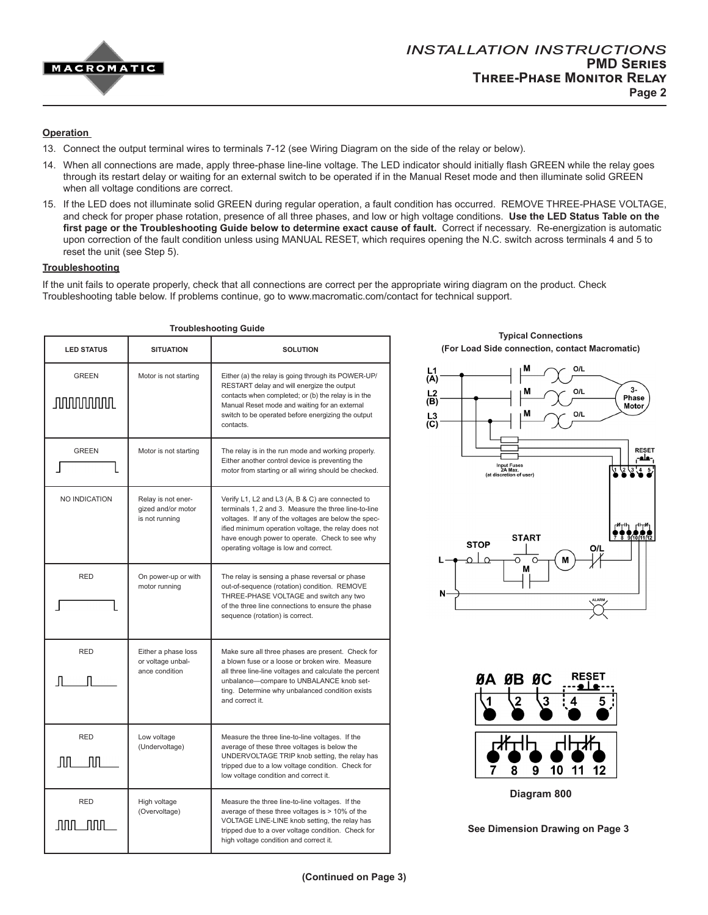

#### **Operation**

- 13. Connect the output terminal wires to terminals 7-12 (see Wiring Diagram on the side of the relay or below).
- 14. When all connections are made, apply three-phase line-line voltage. The LED indicator should initially flash GREEN while the relay goes through its restart delay or waiting for an external switch to be operated if in the Manual Reset mode and then illuminate solid GREEN when all voltage conditions are correct.
- 15. If the LED does not illuminate solid GREEN during regular operation, a fault condition has occurred. REMOVE THREE-PHASE VOLTAGE, and check for proper phase rotation, presence of all three phases, and low or high voltage conditions. **Use the LED Status Table on the first page or the Troubleshooting Guide below to determine exact cause of fault.** Correct if necessary. Re-energization is automatic upon correction of the fault condition unless using MANUAL RESET, which requires opening the N.C. switch across terminals 4 and 5 to reset the unit (see Step 5).

#### **Troubleshooting**

If the unit fails to operate properly, check that all connections are correct per the appropriate wiring diagram on the product. Check Troubleshooting table below. If problems continue, go to www.macromatic.com/contact for technical support.

|                                  | <b>Troubleshooting Guide</b>                               |                                                                                                                                                                                                                                                                                                                    |                                                                                      |  |
|----------------------------------|------------------------------------------------------------|--------------------------------------------------------------------------------------------------------------------------------------------------------------------------------------------------------------------------------------------------------------------------------------------------------------------|--------------------------------------------------------------------------------------|--|
| <b>LED STATUS</b>                | <b>SITUATION</b>                                           | <b>SOLUTION</b>                                                                                                                                                                                                                                                                                                    | <b>Typical Connections</b><br>(For Load Side connection, contac                      |  |
| <b>GREEN</b><br><b>JUUUUUUUL</b> | Motor is not starting                                      | Either (a) the relay is going through its POWER-UP/<br>RESTART delay and will energize the output<br>contacts when completed; or (b) the relay is in the<br>Manual Reset mode and waiting for an external<br>switch to be operated before energizing the output<br>contacts.                                       | M<br>O/L<br>$\frac{L}{A}$<br>$\frac{L^2}{(B)}$<br>$\begin{matrix}L_3\\C\end{matrix}$ |  |
| <b>GREEN</b>                     | Motor is not starting                                      | The relay is in the run mode and working properly.<br>Either another control device is preventing the<br>motor from starting or all wiring should be checked.                                                                                                                                                      | Input Fuses<br>2A Max.<br>(at discretion of user)                                    |  |
| NO INDICATION                    | Relay is not ener-<br>gized and/or motor<br>is not running | Verify L1, L2 and L3 (A, B & C) are connected to<br>terminals 1, 2 and 3. Measure the three line-to-line<br>voltages. If any of the voltages are below the spec-<br>ified minimum operation voltage, the relay does not<br>have enough power to operate. Check to see why<br>operating voltage is low and correct. | <b>START</b><br><b>STOP</b><br>O<br>$\circ$                                          |  |
| <b>RED</b>                       | On power-up or with<br>motor running                       | The relay is sensing a phase reversal or phase<br>out-of-sequence (rotation) condition. REMOVE<br>THREE-PHASE VOLTAGE and switch any two<br>of the three line connections to ensure the phase<br>sequence (rotation) is correct.                                                                                   | М<br>N                                                                               |  |
| <b>RED</b>                       | Either a phase loss<br>or voltage unbal-<br>ance condition | Make sure all three phases are present. Check for<br>a blown fuse or a loose or broken wire. Measure<br>all three line-line voltages and calculate the percent<br>unbalance-compare to UNBALANCE knob set-<br>ting. Determine why unbalanced condition exists<br>and correct it.                                   | <b>RE</b><br>ØA ØB ØC                                                                |  |
| <b>RED</b><br>ЛЛ<br>Лſ           | Low voltage<br>(Undervoltage)                              | Measure the three line-to-line voltages. If the<br>average of these three voltages is below the<br>UNDERVOLTAGE TRIP knob setting, the relay has<br>tripped due to a low voltage condition. Check for<br>low voltage condition and correct it.                                                                     | ₩<br>10<br>8<br>9<br>11<br>7                                                         |  |
| <b>RED</b><br>JUUL_JUUL          | High voltage<br>(Overvoltage)                              | Measure the three line-to-line voltages. If the<br>average of these three voltages is > 10% of the<br>VOLTAGE LINE-LINE knob setting, the relay has<br>tripped due to a over voltage condition. Check for<br>high voltage condition and correct it.                                                                | Diagram 800<br><b>See Dimension Drawing</b>                                          |  |

**(For Load Side connection, contact Macromatic)**





**See Dimension Drawing on Page 3**